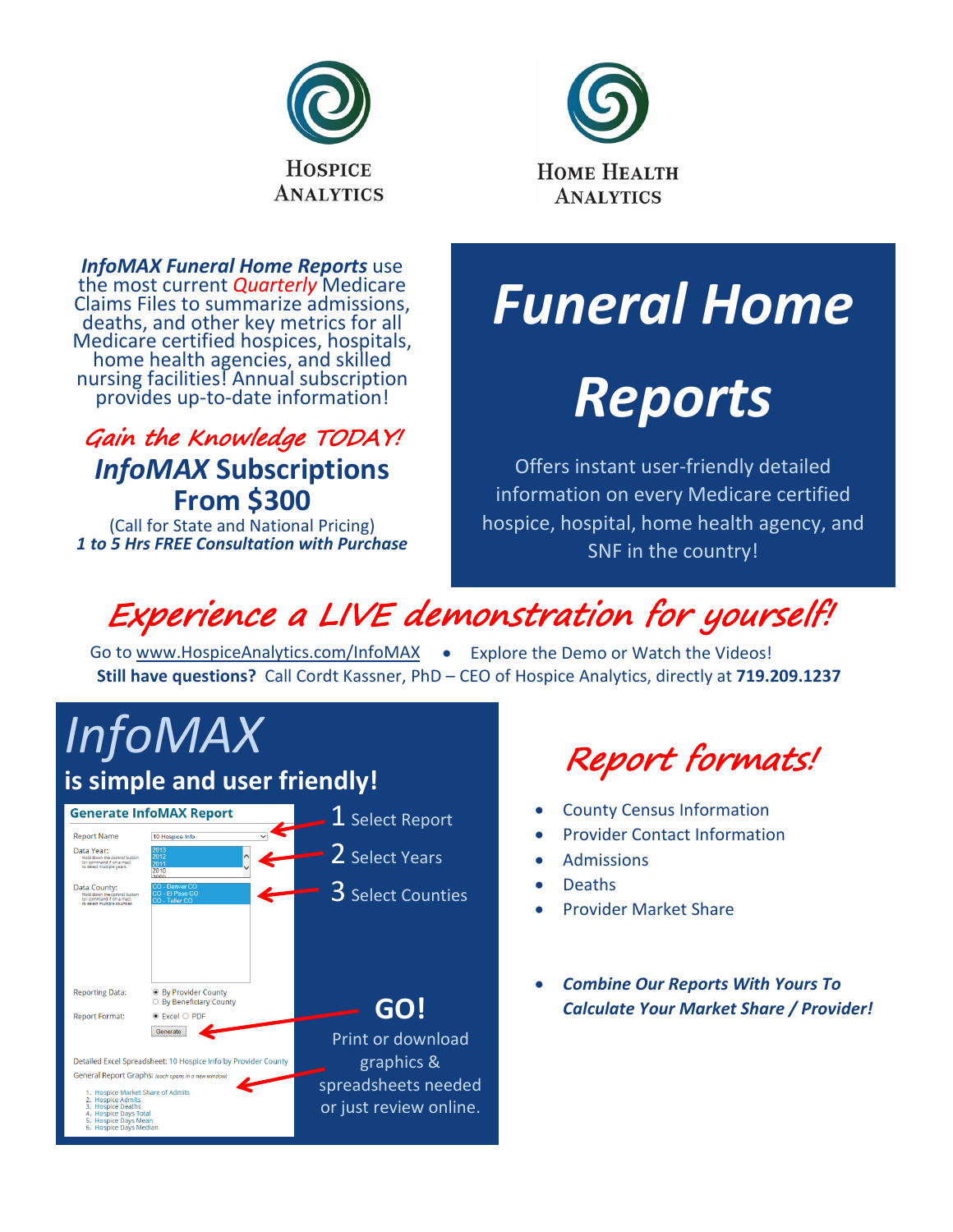



*InfoMAX Funeral Home Reports* use the most current *Quarterly* Medicare Claims Files to summarize admissions, deaths, and other key metrics for all<br>Medicare certified hospices, hospitals, Medicare certified hospices, hospitals, home health agencies, and skilled nursing facilities! Annual subscription provides up-to-date information!

### Gain the Knowledge TODAY! *InfoMAX* **Subscriptions From \$300**

(Call for State and National Pricing) *1 to 5 Hrs FREE Consultation with Purchase*

# *Funeral Home*

# *Reports*

Offers instant user-friendly detailed information on every Medicare certified hospice, hospital, home health agency, and SNF in the country!

## Experience a LIVE demonstration for yourself!

Go to [www.HospiceAnalytics.com/InfoMAX](http://www.hospiceanalytics.com/InfoMAX) . Explore the Demo or Watch the Videos! **Still have questions?** Call Cordt Kassner, PhD – CEO of Hospice Analytics, directly at **719.209.1237**



Report formats!

- County Census Information
- Provider Contact Information
- **Admissions**
- Deaths
- Provider Market Share
- *Combine Our Reports With Yours To Calculate Your Market Share / Provider!*